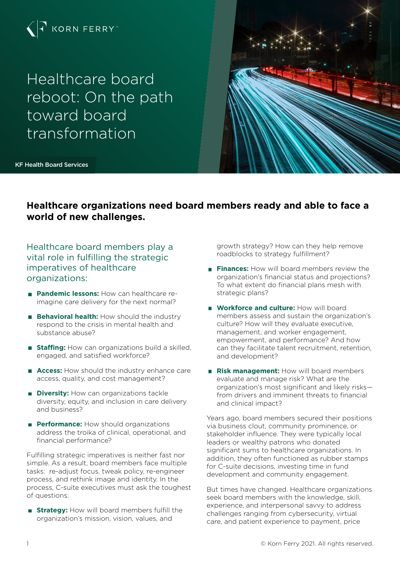

Healthcare board reboot: On the path toward board transformation



KF Health Board Services

# **Healthcare organizations need board members ready and able to face a world of new challenges.**

Healthcare board members play a vital role in fulfilling the strategic imperatives of healthcare organizations:

- **Pandemic lessons:** How can healthcare reimagine care delivery for the next normal?
- **Behavioral health:** How should the industry respond to the crisis in mental health and substance abuse?
- **Staffing:** How can organizations build a skilled. engaged, and satisfied workforce?
- **Access:** How should the industry enhance care access, quality, and cost management?
- **Diversity:** How can organizations tackle diversity, equity, and inclusion in care delivery and business?
- **Performance:** How should organizations address the troika of clinical, operational, and financial performance?

Fulfilling strategic imperatives is neither fast nor simple. As a result, board members face multiple tasks: re-adjust focus, tweak policy, re-engineer process, and rethink image and identity. In the process, C-suite executives must ask the toughest of questions:

**Strategy:** How will board members fulfill the organization's mission, vision, values, and

growth strategy? How can they help remove roadblocks to strategy fulfillment?

- **Finances:** How will board members review the organization's financial status and projections? To what extent do financial plans mesh with strategic plans?
- **Workforce and culture:** How will board members assess and sustain the organization's culture? How will they evaluate executive, management, and worker engagement, empowerment, and performance? And how can they facilitate talent recruitment, retention, and development?
- **Risk management:** How will board members evaluate and manage risk? What are the organization's most significant and likely risks from drivers and imminent threats to financial and clinical impact?

Years ago, board members secured their positions via business clout, community prominence, or stakeholder influence. They were typically local leaders or wealthy patrons who donated significant sums to healthcare organizations. In addition, they often functioned as rubber stamps for C-suite decisions, investing time in fund development and community engagement.

But times have changed. Healthcare organizations seek board members with the knowledge, skill, experience, and interpersonal savvy to address challenges ranging from cybersecurity, virtual care, and patient experience to payment, price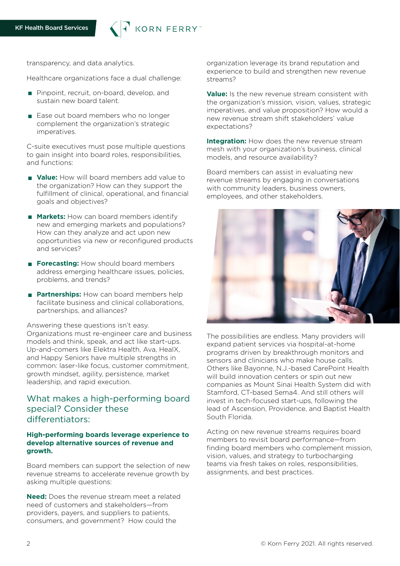

transparency, and data analytics.

Healthcare organizations face a dual challenge:

- **Pinpoint, recruit, on-board, develop, and** sustain new board talent.
- Ease out board members who no longer complement the organization's strategic imperatives.

C-suite executives must pose multiple questions to gain insight into board roles, responsibilities, and functions:

- **Value:** How will board members add value to the organization? How can they support the fulfillment of clinical, operational, and financial goals and objectives?
- **Markets:** How can board members identify new and emerging markets and populations? How can they analyze and act upon new opportunities via new or reconfigured products and services?
- **Forecasting:** How should board members address emerging healthcare issues, policies, problems, and trends?
- **Partnerships:** How can board members help facilitate business and clinical collaborations, partnerships, and alliances?

Answering these questions isn't easy. Organizations must re-engineer care and business models and think, speak, and act like start-ups. Up-and-comers like Elektra Health, Ava, HealX, and Happy Seniors have multiple strengths in common: laser-like focus, customer commitment, growth mindset, agility, persistence, market

leadership, and rapid execution.

# What makes a high-performing board special? Consider these differentiators:

### **High-performing boards leverage experience to develop alternative sources of revenue and growth.**

Board members can support the selection of new revenue streams to accelerate revenue growth by asking multiple questions:

**Need:** Does the revenue stream meet a related need of customers and stakeholders—from providers, payers, and suppliers to patients, consumers, and government? How could the

organization leverage its brand reputation and experience to build and strengthen new revenue streams?

**Value:** Is the new revenue stream consistent with the organization's mission, vision, values, strategic imperatives, and value proposition? How would a new revenue stream shift stakeholders' value expectations?

**Integration:** How does the new revenue stream mesh with your organization's business, clinical models, and resource availability?

Board members can assist in evaluating new revenue streams by engaging in conversations with community leaders, business owners, employees, and other stakeholders.



The possibilities are endless. Many providers will expand patient services via hospital-at-home programs driven by breakthrough monitors and sensors and clinicians who make house calls. Others like Bayonne, N.J.-based CarePoint Health will build innovation centers or spin out new companies as Mount Sinai Health System did with Stamford, CT-based Sema4. And still others will invest in tech-focused start-ups, following the lead of Ascension, Providence, and Baptist Health South Florida.

Acting on new revenue streams requires board members to revisit board performance—from finding board members who complement mission, vision, values, and strategy to turbocharging teams via fresh takes on roles, responsibilities, assignments, and best practices.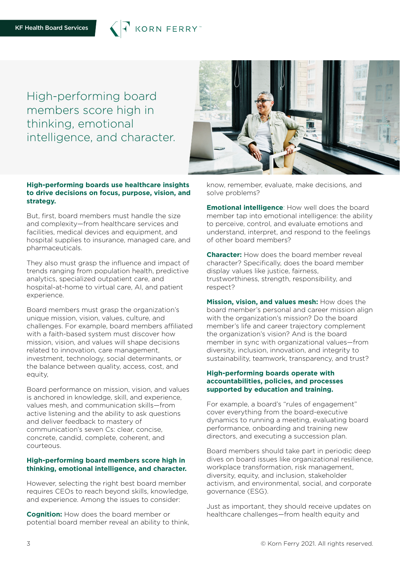KORN FERRY

High-performing board members score high in thinking, emotional intelligence, and character.



# **High-performing boards use healthcare insights to drive decisions on focus, purpose, vision, and strategy.**

But, first, board members must handle the size and complexity—from healthcare services and facilities, medical devices and equipment, and hospital supplies to insurance, managed care, and pharmaceuticals.

They also must grasp the influence and impact of trends ranging from population health, predictive analytics, specialized outpatient care, and hospital-at-home to virtual care, AI, and patient experience.

Board members must grasp the organization's unique mission, vision, values, culture, and challenges. For example, board members affiliated with a faith-based system must discover how mission, vision, and values will shape decisions related to innovation, care management, investment, technology, social determinants, or the balance between quality, access, cost, and equity,

Board performance on mission, vision, and values is anchored in knowledge, skill, and experience, values mesh, and communication skills—from active listening and the ability to ask questions and deliver feedback to mastery of communication's seven Cs: clear, concise, concrete, candid, complete, coherent, and courteous.

# **High-performing board members score high in thinking, emotional intelligence, and character.**

However, selecting the right best board member requires CEOs to reach beyond skills, knowledge, and experience. Among the issues to consider:

**Cognition:** How does the board member or potential board member reveal an ability to think, know, remember, evaluate, make decisions, and solve problems?

**Emotional intelligence**: How well does the board member tap into emotional intelligence: the ability to perceive, control, and evaluate emotions and understand, interpret, and respond to the feelings of other board members?

**Character:** How does the board member reveal character? Specifically, does the board member display values like justice, fairness, trustworthiness, strength, responsibility, and respect?

**Mission, vision, and values mesh:** How does the board member's personal and career mission align with the organization's mission? Do the board member's life and career trajectory complement the organization's vision? And is the board member in sync with organizational values—from diversity, inclusion, innovation, and integrity to sustainability, teamwork, transparency, and trust?

### **High-performing boards operate with accountabilities, policies, and processes supported by education and training.**

For example, a board's "rules of engagement" cover everything from the board-executive dynamics to running a meeting, evaluating board performance, onboarding and training new directors, and executing a succession plan.

Board members should take part in periodic deep dives on board issues like organizational resilience, workplace transformation, risk management, diversity, equity, and inclusion, stakeholder activism, and environmental, social, and corporate governance (ESG).

Just as important, they should receive updates on healthcare challenges—from health equity and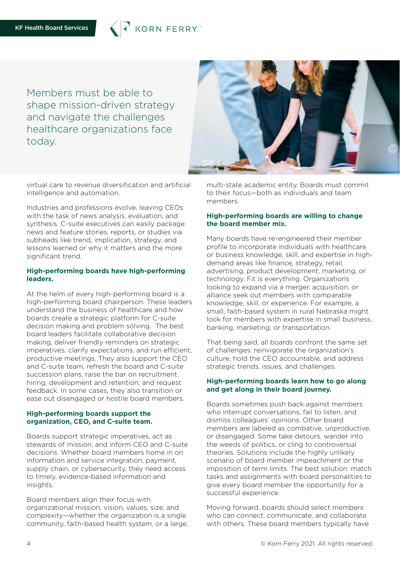

Members must be able to shape mission-driven strategy and navigate the challenges healthcare organizations face today.



virtual care to revenue diversification and artificial intelligence and automation.

Industries and professions evolve, leaving CEOs with the task of news analysis, evaluation, and synthesis. C-suite executives can easily package news and feature stories, reports, or studies via subheads like trend, implication, strategy, and lessons learned or why it matters and the more significant trend.

# **High-performing boards have high-performing leaders.**

At the helm of every high-performing board is a high-performing board chairperson. These leaders understand the business of healthcare and how boards create a strategic platform for C-suite decision making and problem solving. The best board leaders facilitate collaborative decision making, deliver friendly reminders on strategic imperatives, clarify expectations, and run efficient, productive meetings. They also support the CEO and C-suite team, refresh the board and C-suite succession plans, raise the bar on recruitment, hiring, development and retention, and request feedback. In some cases, they also transition or ease out disengaged or hostile board members.

# **High-performing boards support the organization, CEO, and C-suite team.**

Boards support strategic imperatives, act as stewards of mission, and inform CEO and C-suite decisions. Whether board members home in on information and service integration, payment, supply chain, or cybersecurity, they need access to timely, evidence-based information and insights.

Board members align their focus with organizational mission, vision, values, size, and complexity—whether the organization is a single community, faith-based health system, or a large, multi-state academic entity. Boards must commit to their focus—both as individuals and team members.

# **High-performing boards are willing to change the board member mix.**

Many boards have re-engineered their member profile to incorporate individuals with healthcare or business knowledge, skill, and expertise in highdemand areas like finance, strategy, retail, advertising, product development, marketing, or technology. Fit is everything. Organizations looking to expand via a merger, acquisition, or alliance seek out members with comparable knowledge, skill, or experience. For example, a small, faith-based system in rural Nebraska might look for members with expertise in small business, banking, marketing, or transportation.

That being said, all boards confront the same set of challenges: reinvigorate the organization's culture, hold the CEO accountable, and address strategic trends, issues, and challenges.

# **High-performing boards learn how to go along and get along in their board journey.**

Boards sometimes push back against members who interrupt conversations, fail to listen, and dismiss colleagues' opinions. Other board members are labeled as combative, unproductive, or disengaged. Some take detours, wander into the weeds of politics, or cling to controversial theories. Solutions include the highly unlikely scenario of board member impeachment or the imposition of term limits. The best solution: match tasks and assignments with board personalities to give every board member the opportunity for a successful experience.

Moving forward, boards should select members who can connect, communicate, and collaborate with others. These board members typically have